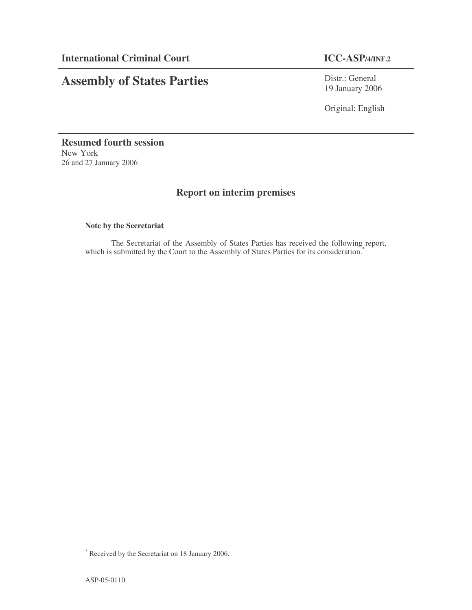# **Assembly of States Parties**

Distr.: General 19 January 2006

Original: English

**Resumed fourth session** New York 26 and 27 January 2006

## **Report on interim premises**

### **Note by the Secretariat**

The Secretariat of the Assembly of States Parties has received the following report, which is submitted by the Court to the Assembly of States Parties for its consideration.<sup>\*</sup>

<sup>\*</sup> Received by the Secretariat on 18 January 2006.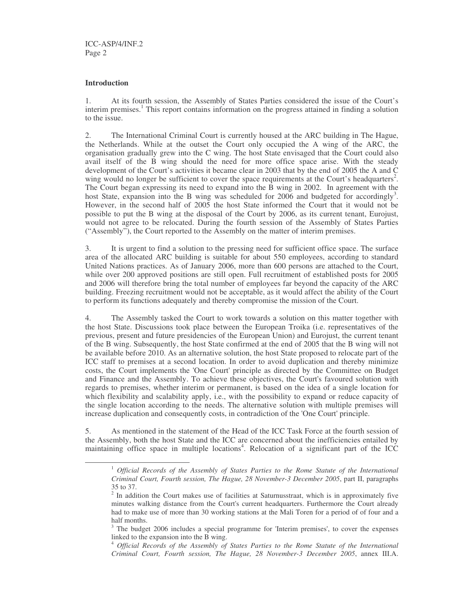#### **Introduction**

1. At its fourth session, the Assembly of States Parties considered the issue of the Court's interim premises. 1 This report contains information on the progress attained in finding a solution to the issue.

2. The International Criminal Court is currently housed at the ARC building in The Hague, the Netherlands. While at the outset the Court only occupied the A wing of the ARC, the organisation gradually grew into the C wing. The host State envisaged that the Court could also avail itself of the B wing should the need for more office space arise. With the steady development of the Court's activities it became clear in 2003 that by the end of 2005 the A and C wing would no longer be sufficient to cover the space requirements at the Court's headquarters<sup>2</sup>. The Court began expressing its need to expand into the B wing in 2002. In agreement with the host State, expansion into the B wing was scheduled for 2006 and budgeted for accordingly<sup>3</sup>. However, in the second half of 2005 the host State informed the Court that it would not be possible to put the B wing at the disposal of the Court by 2006, as its current tenant, Eurojust, would not agree to be relocated. During the fourth session of the Assembly of States Parties ("Assembly"), the Court reported to the Assembly on the matter of interim premises.

3. It is urgent to find a solution to the pressing need for sufficient office space. The surface area of the allocated ARC building is suitable for about 550 employees, according to standard United Nations practices. As of January 2006, more than 600 persons are attached to the Court, while over 200 approved positions are still open. Full recruitment of established posts for 2005 and 2006 will therefore bring the total number of employees far beyond the capacity of the ARC building. Freezing recruitment would not be acceptable, as it would affect the ability of the Court to perform its functions adequately and thereby compromise the mission of the Court.

4. The Assembly tasked the Court to work towards a solution on this matter together with the host State. Discussions took place between the European Troika (i.e. representatives of the previous, present and future presidencies of the European Union) and Eurojust, the current tenant of the B wing. Subsequently, the host State confirmed at the end of 2005 that the B wing will not be available before 2010. As an alternative solution, the host State proposed to relocate part of the ICC staff to premises at a second location. In order to avoid duplication and thereby minimize costs, the Court implements the 'One Court'principle as directed by the Committee on Budget and Finance and the Assembly. To achieve these objectives, the Court's favoured solution with regards to premises, whether interim or permanent, is based on the idea of a single location for which flexibility and scalability apply, i.e., with the possibility to expand or reduce capacity of the single location according to the needs. The alternative solution with multiple premises will increase duplication and consequently costs, in contradiction of the 'One Court'principle.

5. As mentioned in the statement of the Head of the ICC Task Force at the fourth session of the Assembly, both the host State and the ICC are concerned about the inefficiencies entailed by maintaining office space in multiple locations<sup>4</sup>. Relocation of a significant part of the ICC

<sup>1</sup> *Official Records of the Assembly of States Parties to the Rome Statute of the International Criminal Court, Fourth session, The Hague, 28 November-3 December 2005*, part II, paragraphs 35 to 37.

<sup>&</sup>lt;sup>2</sup> In addition the Court makes use of facilities at Saturnusstraat, which is in approximately five minutes walking distance from the Court's current headquarters. Furthermore the Court already had to make use of more than 30 working stations at the Mali Toren for a period of of four and a half months.

 $3$  The budget 2006 includes a special programme for 'Interim premises', to cover the expenses linked to the expansion into the B wing.

<sup>4</sup> *Official Records of the Assembly of States Parties to the Rome Statute of the International Criminal Court, Fourth session, The Hague, 28 November-3 December 2005*, annex III.A.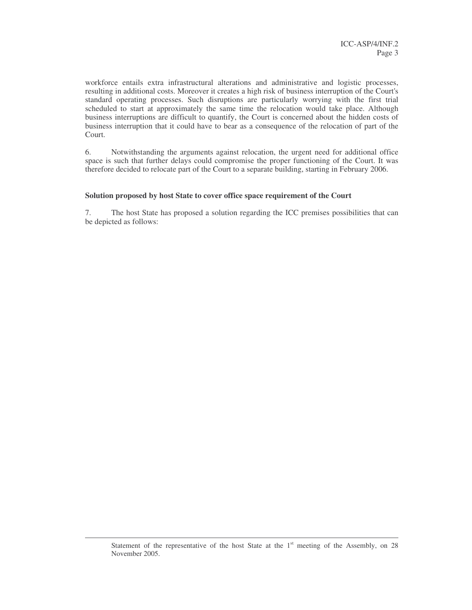workforce entails extra infrastructural alterations and administrative and logistic processes, resulting in additional costs. Moreover it creates a high risk of business interruption of the Court's standard operating processes. Such disruptions are particularly worrying with the first trial scheduled to start at approximately the same time the relocation would take place. Although business interruptions are difficult to quantify, the Court is concerned about the hidden costs of business interruption that it could have to bear as a consequence of the relocation of part of the Court.

6. Notwithstanding the arguments against relocation, the urgent need for additional office space is such that further delays could compromise the proper functioning of the Court. It was therefore decided to relocate part of the Court to a separate building, starting in February 2006.

#### **Solution proposed by host State to cover office space requirement of the Court**

7. The host State has proposed a solution regarding the ICC premises possibilities that can be depicted as follows:

Statement of the representative of the host State at the  $1<sup>st</sup>$  meeting of the Assembly, on 28 November 2005.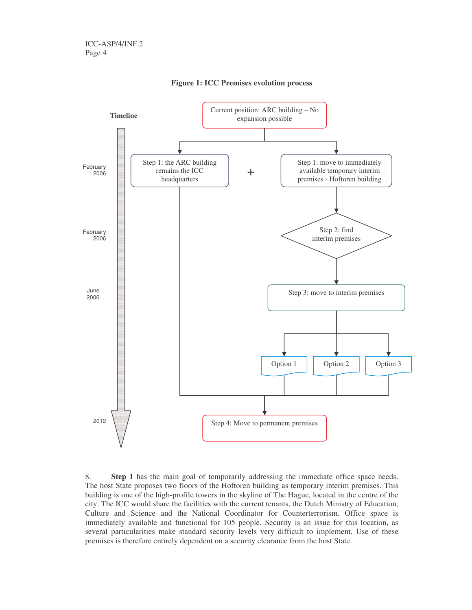

**Figure 1: ICC Premises evolution process**

8. **Step 1** has the main goal of temporarily addressing the immediate office space needs. The host State proposes two floors of the Hoftoren building as temporary interim premises. This building is one of the high-profile towers in the skyline of The Hague, located in the centre of the city. The ICC would share the facilities with the current tenants, the Dutch Ministry of Education, Culture and Science and the National Coordinator for Counterterrorism. Office space is immediately available and functional for 105 people. Security is an issue for this location, as several particularities make standard security levels very difficult to implement. Use of these premises is therefore entirely dependent on a security clearance from the host State.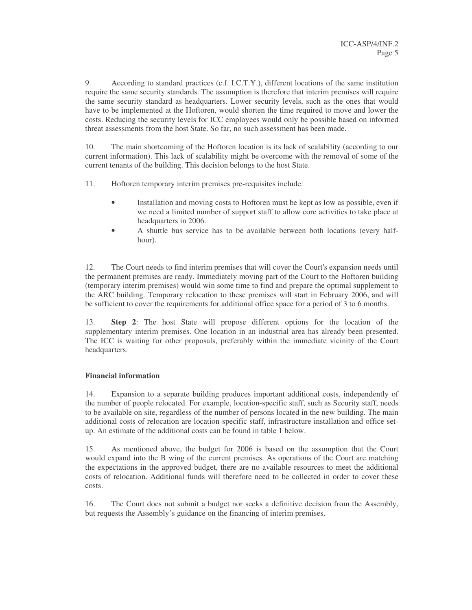9. According to standard practices (c.f. I.C.T.Y.), different locations of the same institution require the same security standards. The assumption is therefore that interim premises will require the same security standard as headquarters. Lower security levels, such as the ones that would have to be implemented at the Hoftoren, would shorten the time required to move and lower the costs. Reducing the security levels for ICC employees would only be possible based on informed threat assessments from the host State. So far, no such assessment has been made.

10. The main shortcoming of the Hoftoren location is its lack of scalability (according to our current information). This lack of scalability might be overcome with the removal of some of the current tenants of the building. This decision belongs to the host State.

11. Hoftoren temporary interim premises pre-requisites include:

- Installation and moving costs to Hoftoren must be kept as low as possible, even if we need a limited number of support staff to allow core activities to take place at headquarters in 2006.
- A shuttle bus service has to be available between both locations (every halfhour).

12. The Court needs to find interim premises that will cover the Court's expansion needs until the permanent premises are ready. Immediately moving part of the Court to the Hoftoren building (temporary interim premises) would win some time to find and prepare the optimal supplement to the ARC building. Temporary relocation to these premises will start in February 2006, and will be sufficient to cover the requirements for additional office space for a period of 3 to 6 months.

13. **Step 2**: The host State will propose different options for the location of the supplementary interim premises. One location in an industrial area has already been presented. The ICC is waiting for other proposals, preferably within the immediate vicinity of the Court headquarters.

#### **Financial information**

14. Expansion to a separate building produces important additional costs, independently of the number of people relocated. For example, location-specific staff, such as Security staff, needs to be available on site, regardless of the number of persons located in the new building. The main additional costs of relocation are location-specific staff, infrastructure installation and office setup. An estimate of the additional costs can be found in table 1 below.

15. As mentioned above, the budget for 2006 is based on the assumption that the Court would expand into the B wing of the current premises. As operations of the Court are matching the expectations in the approved budget, there are no available resources to meet the additional costs of relocation. Additional funds will therefore need to be collected in order to cover these costs.

16. The Court does not submit a budget nor seeks a definitive decision from the Assembly, but requests the Assembly's guidance on the financing of interim premises.